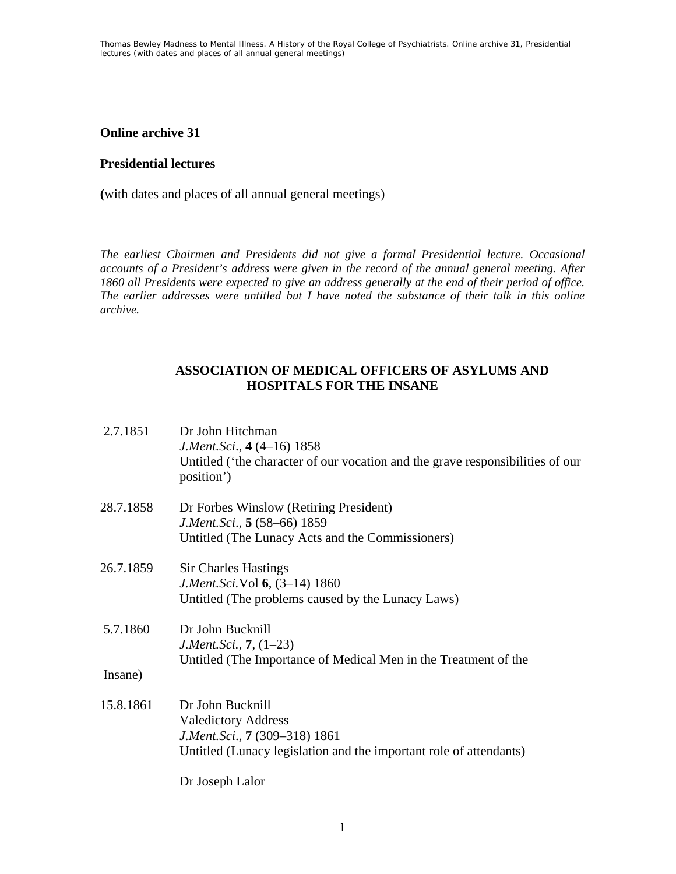## **Online archive 31**

## **Presidential lectures**

**(**with dates and places of all annual general meetings)

*The earliest Chairmen and Presidents did not give a formal Presidential lecture. Occasional accounts of a President's address were given in the record of the annual general meeting. After 1860 all Presidents were expected to give an address generally at the end of their period of office. The earlier addresses were untitled but I have noted the substance of their talk in this online archive.* 

### **ASSOCIATION OF MEDICAL OFFICERS OF ASYLUMS AND HOSPITALS FOR THE INSANE**

| 2.7.1851  | Dr John Hitchman<br>J.Ment.Sci., 4 (4–16) 1858<br>Untitled ('the character of our vocation and the grave responsibilities of our<br>position')        |
|-----------|-------------------------------------------------------------------------------------------------------------------------------------------------------|
| 28.7.1858 | Dr Forbes Winslow (Retiring President)<br>J.Ment.Sci., 5 (58–66) 1859<br>Untitled (The Lunacy Acts and the Commissioners)                             |
| 26.7.1859 | <b>Sir Charles Hastings</b><br>J.Ment.Sci.Vol 6, (3-14) 1860<br>Untitled (The problems caused by the Lunacy Laws)                                     |
| 5.7.1860  | Dr John Bucknill<br><i>J.Ment.Sci.</i> , $7, (1-23)$<br>Untitled (The Importance of Medical Men in the Treatment of the                               |
| Insane)   |                                                                                                                                                       |
| 15.8.1861 | Dr John Bucknill<br><b>Valedictory Address</b><br>J.Ment.Sci., 7 (309-318) 1861<br>Untitled (Lunacy legislation and the important role of attendants) |
|           | Dr Joseph Lalor                                                                                                                                       |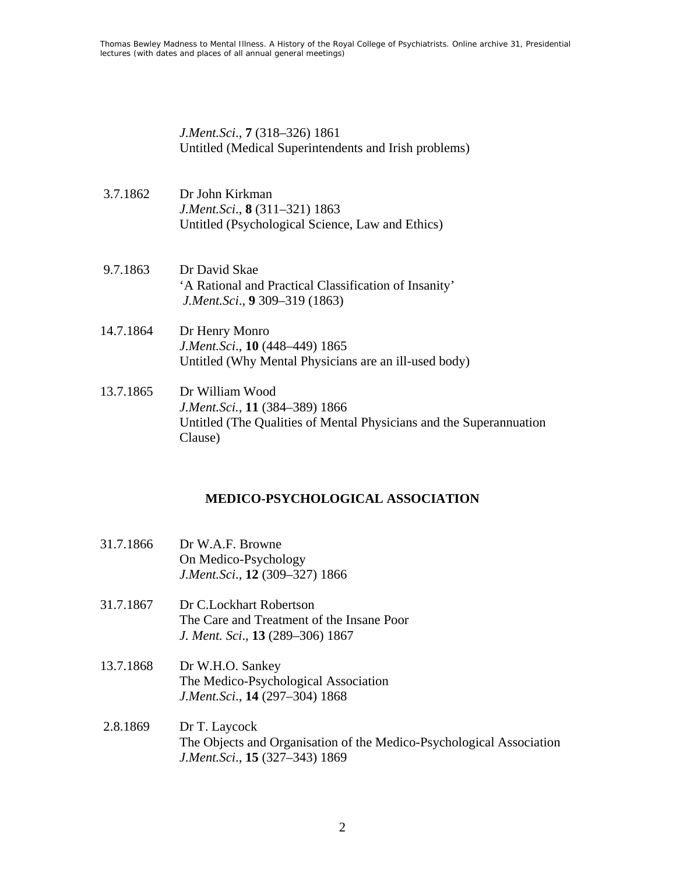*J.Ment.Sci*., **7** (318–326) 1861 Untitled (Medical Superintendents and Irish problems)

- 3.7.1862 Dr John Kirkman *J.Ment.Sci*., **8** (311–321) 1863 Untitled (Psychological Science, Law and Ethics)
- 9.7.1863 Dr David Skae 'A Rational and Practical Classification of Insanity' *J.Ment.Sci*., **9** 309–319 (1863)
- 14.7.1864 Dr Henry Monro *J.Ment.Sci*., **10** (448–449) 1865 Untitled (Why Mental Physicians are an ill-used body)
- 13.7.1865 Dr William Wood *J.Ment.Sci.*, **11** (384–389) 1866 Untitled (The Qualities of Mental Physicians and the Superannuation Clause)

### **MEDICO-PSYCHOLOGICAL ASSOCIATION**

- 31.7.1866 Dr W.A.F. Browne On Medico-Psychology *J.Ment.Sci*., **12** (309–327) 1866
- 31.7.1867 Dr C.Lockhart Robertson The Care and Treatment of the Insane Poor *J. Ment. Sci*., **13** (289–306) 1867
- 13.7.1868 Dr W.H.O. Sankey The Medico-Psychological Association *J.Ment.Sci*., **14** (297–304) 1868
- 2.8.1869 Dr T. Laycock The Objects and Organisation of the Medico-Psychological Association *J.Ment.Sci*., **15** (327–343) 1869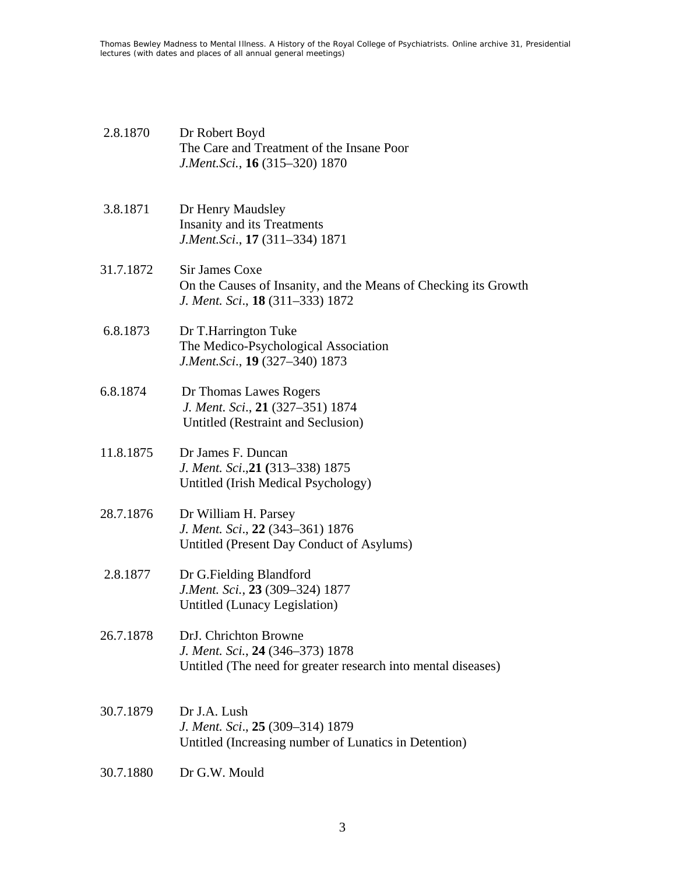Thomas Bewley *Madness to Mental Illness. A History of the Royal College of Psychiatrists*. Online archive 31, *Presidential lectures (with dates and places of all annual general meetings)*

- 2.8.1870 Dr Robert Boyd The Care and Treatment of the Insane Poor *J.Ment.Sci.*, **16** (315–320) 1870
- 3.8.1871 Dr Henry Maudsley Insanity and its Treatments *J.Ment.Sci*., **17** (311–334) 1871
- 31.7.1872 Sir James Coxe On the Causes of Insanity, and the Means of Checking its Growth *J. Ment. Sci*., **18** (311–333) 1872
- 6.8.1873 Dr T.Harrington Tuke The Medico-Psychological Association *J.Ment.Sci*., **19** (327–340) 1873
- 6.8.1874 Dr Thomas Lawes Rogers *J. Ment. Sci*., **21** (327–351) 1874 Untitled (Restraint and Seclusion)
- 11.8.1875 Dr James F. Duncan *J. Ment. Sci*.,**21 (**313–338) 1875 Untitled (Irish Medical Psychology)
- 28.7.1876 Dr William H. Parsey *J. Ment. Sci*., **22** (343–361) 1876 Untitled (Present Day Conduct of Asylums)
- 2.8.1877 Dr G.Fielding Blandford *J.Ment. Sci.*, **23** (309–324) 1877 Untitled (Lunacy Legislation)
- 26.7.1878 DrJ. Chrichton Browne *J. Ment. Sci.*, **24** (346–373) 1878 Untitled (The need for greater research into mental diseases)
- 30.7.1879 Dr J.A. Lush *J. Ment. Sci*., **25** (309–314) 1879 Untitled (Increasing number of Lunatics in Detention)
- 30.7.1880 Dr G.W. Mould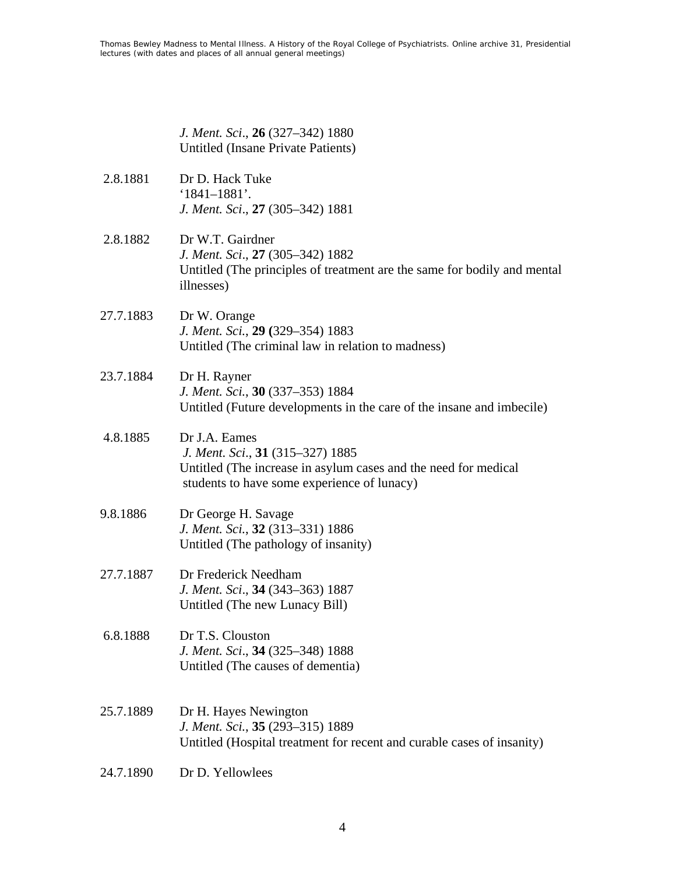| J. Ment. Sci., 26 (327–342) 1880   |
|------------------------------------|
| Untitled (Insane Private Patients) |

- 2.8.1881 Dr D. Hack Tuke '1841–1881'. *J. Ment. Sci*., **27** (305–342) 1881
- 2.8.1882 Dr W.T. Gairdner *J. Ment. Sci*., **27** (305–342) 1882 Untitled (The principles of treatment are the same for bodily and mental illnesses)
- 27.7.1883 Dr W. Orange *J. Ment. Sci.*, **29 (**329–354) 1883 Untitled (The criminal law in relation to madness)
- 23.7.1884 Dr H. Rayner *J. Ment. Sci.*, **30** (337–353) 1884 Untitled (Future developments in the care of the insane and imbecile)
- 4.8.1885 Dr J.A. Eames *J. Ment. Sci*., **31** (315–327) 1885 Untitled (The increase in asylum cases and the need for medical students to have some experience of lunacy)
- 9.8.1886 Dr George H. Savage *J. Ment. Sci.*, **32** (313–331) 1886 Untitled (The pathology of insanity)
- 27.7.1887 Dr Frederick Needham *J. Ment. Sci*., **34** (343–363) 1887 Untitled (The new Lunacy Bill)
- 6.8.1888 Dr T.S. Clouston *J. Ment. Sci*., **34** (325–348) 1888 Untitled (The causes of dementia)
- 25.7.1889 Dr H. Hayes Newington *J. Ment. Sci.*, **35** (293–315) 1889 Untitled (Hospital treatment for recent and curable cases of insanity)
- 24.7.1890 Dr D. Yellowlees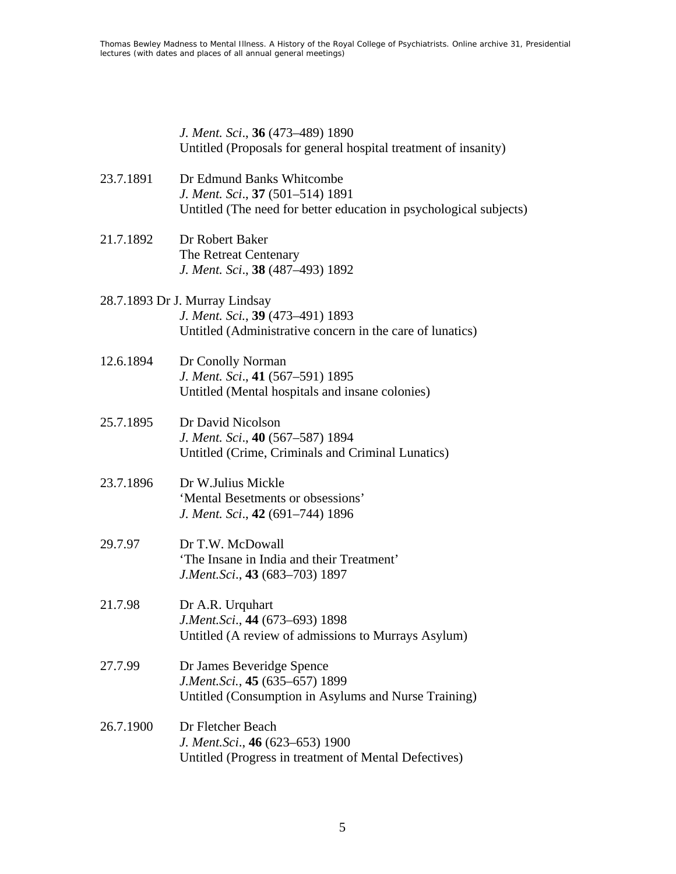*J. Ment. Sci*., **36** (473–489) 1890 Untitled (Proposals for general hospital treatment of insanity)

- 23.7.1891 Dr Edmund Banks Whitcombe *J. Ment. Sci*., **37** (501–514) 1891 Untitled (The need for better education in psychological subjects)
- 21.7.1892 Dr Robert Baker The Retreat Centenary *J. Ment. Sci*., **38** (487–493) 1892

# 28.7.1893 Dr J. Murray Lindsay *J. Ment. Sci.*, **39** (473–491) 1893 Untitled (Administrative concern in the care of lunatics)

- 12.6.1894 Dr Conolly Norman *J. Ment. Sci*., **41** (567–591) 1895 Untitled (Mental hospitals and insane colonies)
- 25.7.1895 Dr David Nicolson *J. Ment. Sci*., **40** (567–587) 1894 Untitled (Crime, Criminals and Criminal Lunatics)
- 23.7.1896 Dr W.Julius Mickle 'Mental Besetments or obsessions' *J. Ment. Sci*., **42** (691–744) 1896
- 29.7.97 Dr T.W. McDowall 'The Insane in India and their Treatment' *J.Ment.Sci*., **43** (683–703) 1897
- 21.7.98 Dr A.R. Urquhart *J.Ment.Sci*., **44** (673–693) 1898 Untitled (A review of admissions to Murrays Asylum)
- 27.7.99 Dr James Beveridge Spence *J.Ment.Sci.*, **45** (635–657) 1899 Untitled (Consumption in Asylums and Nurse Training)
- 26.7.1900 Dr Fletcher Beach *J. Ment.Sci*., **46** (623–653) 1900 Untitled (Progress in treatment of Mental Defectives)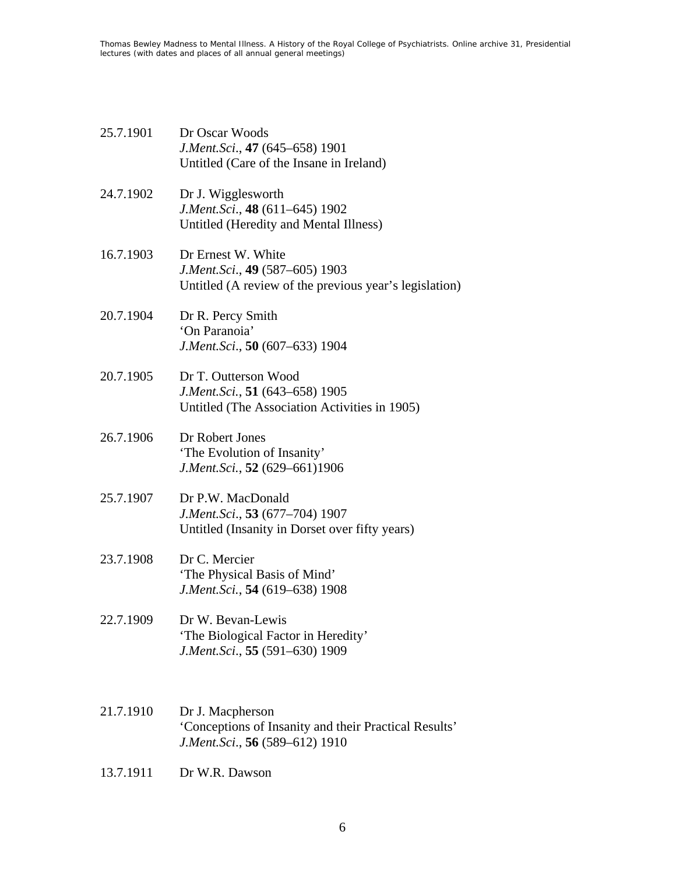| 25.7.1901 | Dr Oscar Woods<br>J.Ment.Sci., 47 (645–658) 1901<br>Untitled (Care of the Insane in Ireland)                   |
|-----------|----------------------------------------------------------------------------------------------------------------|
| 24.7.1902 | Dr J. Wigglesworth<br>J.Ment.Sci., 48 (611–645) 1902<br>Untitled (Heredity and Mental Illness)                 |
| 16.7.1903 | Dr Ernest W. White<br>J.Ment.Sci., 49 (587–605) 1903<br>Untitled (A review of the previous year's legislation) |
| 20.7.1904 | Dr R. Percy Smith<br>'On Paranoia'<br>J.Ment.Sci., 50 (607–633) 1904                                           |
| 20.7.1905 | Dr T. Outterson Wood<br>J.Ment.Sci., 51 (643–658) 1905<br>Untitled (The Association Activities in 1905)        |
| 26.7.1906 | Dr Robert Jones<br>'The Evolution of Insanity'<br>J.Ment.Sci., 52 (629-661)1906                                |
| 25.7.1907 | Dr P.W. MacDonald<br>J.Ment.Sci., 53 (677–704) 1907<br>Untitled (Insanity in Dorset over fifty years)          |
| 23.7.1908 | Dr C. Mercier<br>'The Physical Basis of Mind'<br>J.Ment.Sci., 54 (619–638) 1908                                |
| 22.7.1909 | Dr W. Bevan-Lewis<br>'The Biological Factor in Heredity'<br>J.Ment.Sci., 55 (591–630) 1909                     |
| 21.7.1910 | Dr J. Macpherson<br>'Conceptions of Insanity and their Practical Results'<br>J.Ment.Sci., 56 (589–612) 1910    |

13.7.1911 Dr W.R. Dawson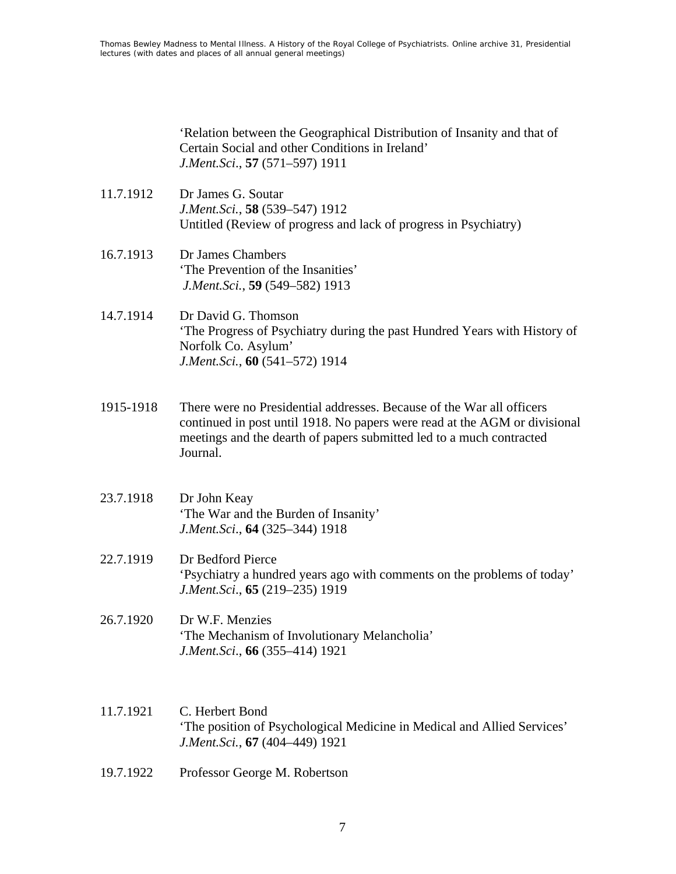'Relation between the Geographical Distribution of Insanity and that of Certain Social and other Conditions in Ireland' *J.Ment.Sci*., **57** (571–597) 1911

- 11.7.1912 Dr James G. Soutar *J.Ment.Sci.*, **58** (539–547) 1912 Untitled (Review of progress and lack of progress in Psychiatry)
- 16.7.1913 Dr James Chambers 'The Prevention of the Insanities' *J.Ment.Sci.*, **59** (549–582) 1913
- 14.7.1914 Dr David G. Thomson 'The Progress of Psychiatry during the past Hundred Years with History of Norfolk Co. Asylum' *J.Ment.Sci.*, **60** (541–572) 1914
- 1915-1918 There were no Presidential addresses. Because of the War all officers continued in post until 1918. No papers were read at the AGM or divisional meetings and the dearth of papers submitted led to a much contracted Journal.
- 23.7.1918 Dr John Keay 'The War and the Burden of Insanity' *J.Ment.Sci*., **64** (325–344) 1918
- 22.7.1919 Dr Bedford Pierce 'Psychiatry a hundred years ago with comments on the problems of today' *J.Ment.Sci*., **65** (219–235) 1919
- 26.7.1920 Dr W.F. Menzies 'The Mechanism of Involutionary Melancholia' *J.Ment.Sci*., **66** (355–414) 1921
- 11.7.1921 C. Herbert Bond 'The position of Psychological Medicine in Medical and Allied Services' *J.Ment.Sci.*, **67** (404–449) 1921
- 19.7.1922 Professor George M. Robertson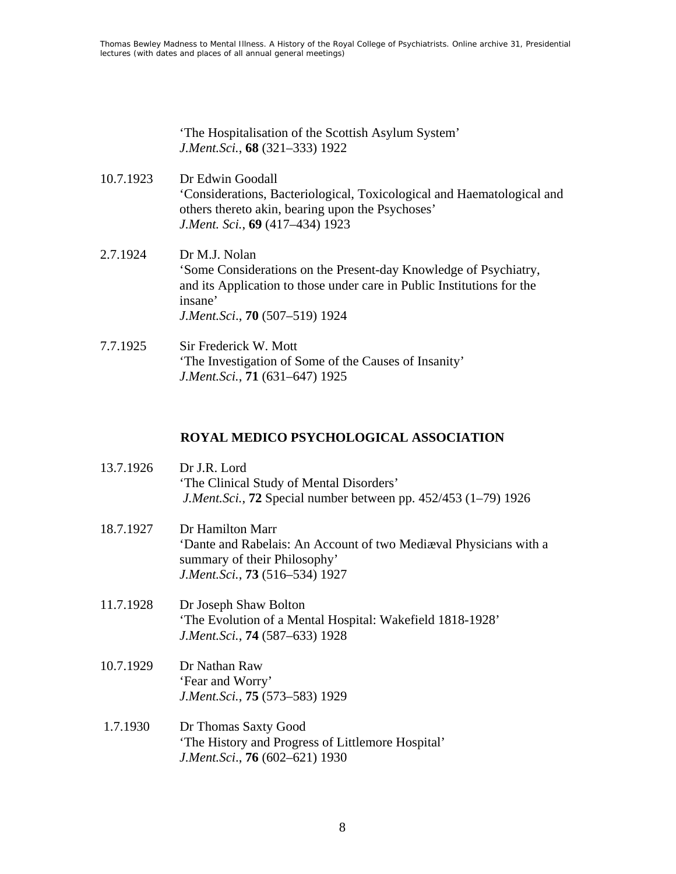'The Hospitalisation of the Scottish Asylum System' *J.Ment.Sci.*, **68** (321–333) 1922

- 10.7.1923 Dr Edwin Goodall 'Considerations, Bacteriological, Toxicological and Haematological and others thereto akin, bearing upon the Psychoses' *J.Ment. Sci.*, **69** (417–434) 1923
- 2.7.1924 Dr M.J. Nolan 'Some Considerations on the Present-day Knowledge of Psychiatry, and its Application to those under care in Public Institutions for the insane' *J.Ment.Sci*., **70** (507–519) 1924
- 7.7.1925 Sir Frederick W. Mott 'The Investigation of Some of the Causes of Insanity' *J.Ment.Sci.*, **71** (631–647) 1925

### **ROYAL MEDICO PSYCHOLOGICAL ASSOCIATION**

| 13.7.1926 | Dr J.R. Lord<br>'The Clinical Study of Mental Disorders'<br>J.Ment.Sci., 72 Special number between pp. 452/453 (1-79) 1926                                     |
|-----------|----------------------------------------------------------------------------------------------------------------------------------------------------------------|
| 18.7.1927 | Dr Hamilton Marr<br>'Dante and Rabelais: An Account of two Mediaval Physicians with a<br>summary of their Philosophy'<br>J.Ment.Sci., <b>73</b> (516–534) 1927 |
| 11.7.1928 | Dr Joseph Shaw Bolton<br>'The Evolution of a Mental Hospital: Wakefield 1818-1928'<br>J.Ment.Sci., <b>74</b> (587–633) 1928                                    |
| 10.7.1929 | Dr Nathan Raw<br>'Fear and Worry'<br>J.Ment.Sci., 75 (573–583) 1929                                                                                            |
| 1.7.1930  | Dr Thomas Saxty Good<br>'The History and Progress of Littlemore Hospital'<br>J.Ment.Sci., <b>76</b> (602–621) 1930                                             |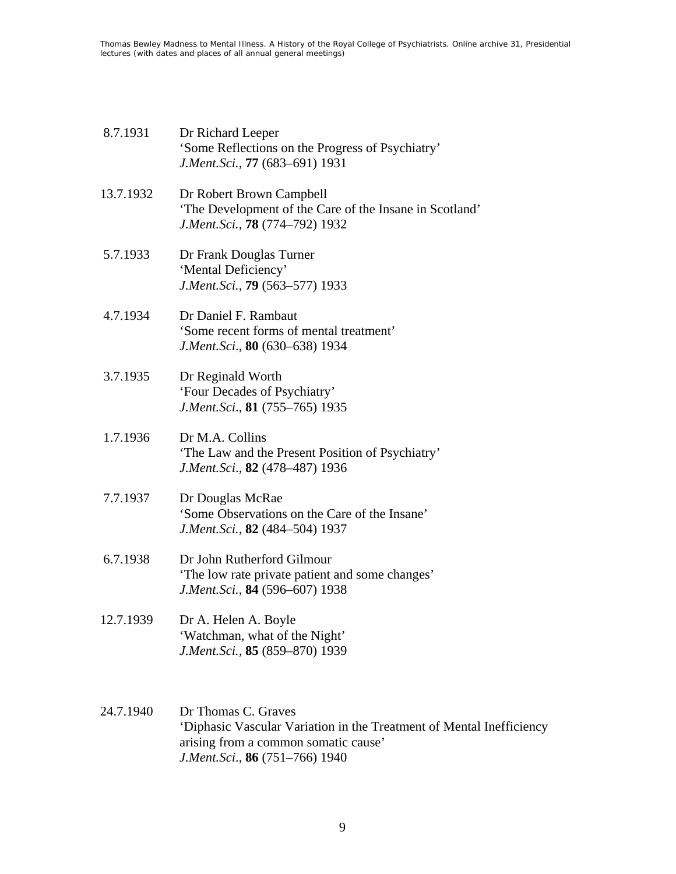| 8.7.1931 | Dr Richard Leeper                                |
|----------|--------------------------------------------------|
|          | 'Some Reflections on the Progress of Psychiatry' |
|          | J.Ment.Sci., 77 (683–691) 1931                   |

13.7.1932 Dr Robert Brown Campbell 'The Development of the Care of the Insane in Scotland' *J.Ment.Sci.*, **78** (774–792) 1932

- 5.7.1933 Dr Frank Douglas Turner 'Mental Deficiency' *J.Ment.Sci.*, **79** (563–577) 1933
- 4.7.1934 Dr Daniel F. Rambaut 'Some recent forms of mental treatment' *J.Ment.Sci*., **80** (630–638) 1934
- 3.7.1935 Dr Reginald Worth 'Four Decades of Psychiatry' *J.Ment.Sci*., **81** (755–765) 1935
- 1.7.1936 Dr M.A. Collins 'The Law and the Present Position of Psychiatry' *J.Ment.Sci*., **82** (478–487) 1936
- 7.7.1937 Dr Douglas McRae 'Some Observations on the Care of the Insane' *J.Ment.Sci.*, **82** (484–504) 1937
- 6.7.1938 Dr John Rutherford Gilmour 'The low rate private patient and some changes' *J.Ment.Sci.*, **84** (596–607) 1938
- 12.7.1939 Dr A. Helen A. Boyle 'Watchman, what of the Night' *J.Ment.Sci.*, **85** (859–870) 1939
- 24.7.1940 Dr Thomas C. Graves 'Diphasic Vascular Variation in the Treatment of Mental Inefficiency arising from a common somatic cause' *J.Ment.Sci*., **86** (751–766) 1940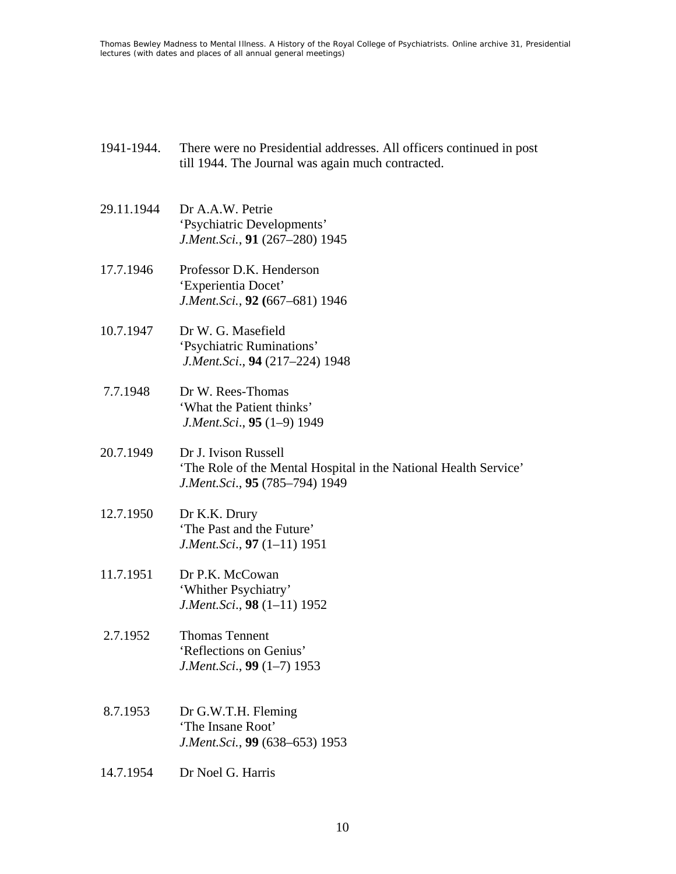- 1941-1944. There were no Presidential addresses. All officers continued in post till 1944. The Journal was again much contracted.
- 29.11.1944 Dr A.A.W. Petrie 'Psychiatric Developments' *J.Ment.Sci.*, **91** (267–280) 1945
- 17.7.1946 Professor D.K. Henderson 'Experientia Docet' *J.Ment.Sci.*, **92 (**667–681) 1946
- 10.7.1947 Dr W. G. Masefield 'Psychiatric Ruminations'  *J.Ment.Sci*., **94** (217–224) 1948
- 7.7.1948 Dr W. Rees-Thomas 'What the Patient thinks'  *J.Ment.Sci*., **95** (1–9) 1949
- 20.7.1949 Dr J. Ivison Russell 'The Role of the Mental Hospital in the National Health Service' *J.Ment.Sci*., **95** (785–794) 1949
- 12.7.1950 Dr K.K. Drury 'The Past and the Future' *J.Ment.Sci*., **97** (1–11) 1951
- 11.7.1951 Dr P.K. McCowan 'Whither Psychiatry' *J.Ment.Sci*., **98** (1–11) 1952
- 2.7.1952 Thomas Tennent 'Reflections on Genius' *J.Ment.Sci*., **99** (1–7) 1953
- 8.7.1953 Dr G.W.T.H. Fleming 'The Insane Root' *J.Ment.Sci.*, **99** (638–653) 1953
- 14.7.1954 Dr Noel G. Harris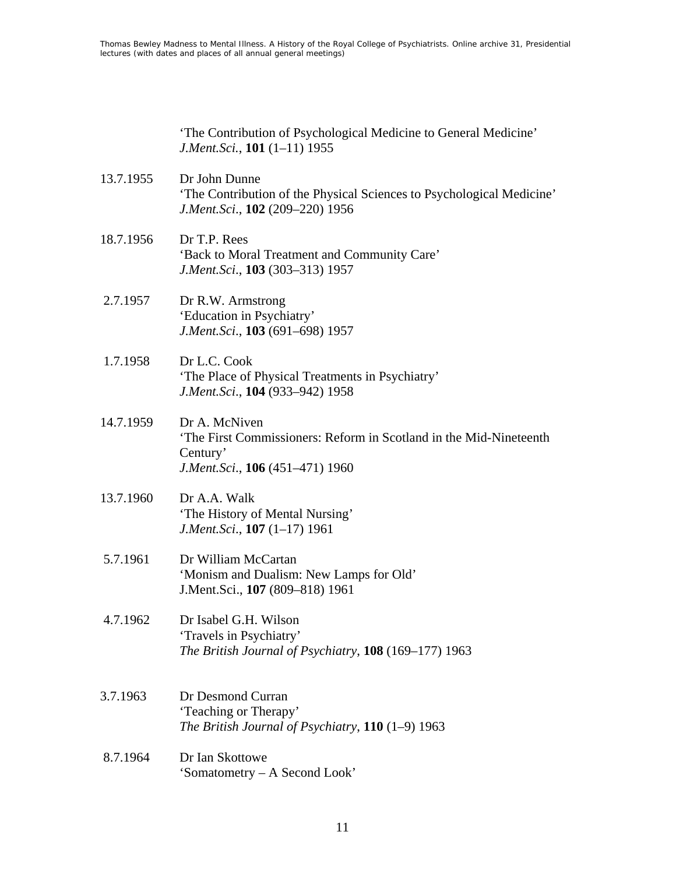'The Contribution of Psychological Medicine to General Medicine' *J.Ment.Sci.*, **101** (1–11) 1955

- 13.7.1955 Dr John Dunne 'The Contribution of the Physical Sciences to Psychological Medicine' *J.Ment.Sci*., **102** (209–220) 1956
- 18.7.1956 Dr T.P. Rees 'Back to Moral Treatment and Community Care' *J.Ment.Sci*., **103** (303–313) 1957
- 2.7.1957 Dr R.W. Armstrong 'Education in Psychiatry' *J.Ment.Sci*., **103** (691–698) 1957
- 1.7.1958 Dr L.C. Cook 'The Place of Physical Treatments in Psychiatry' *J.Ment.Sci*., **104** (933–942) 1958
- 14.7.1959 Dr A. McNiven 'The First Commissioners: Reform in Scotland in the Mid-Nineteenth Century' *J.Ment.Sci*., **106** (451–471) 1960
- 13.7.1960 Dr A.A. Walk 'The History of Mental Nursing' *J.Ment.Sci*., **107** (1–17) 1961
- 5.7.1961 Dr William McCartan 'Monism and Dualism: New Lamps for Old' J.Ment.Sci., **107** (809–818) 1961
- 4.7.1962 Dr Isabel G.H. Wilson 'Travels in Psychiatry' *The British Journal of Psychiatry*, **108** (169–177) 1963
- 3.7.1963 Dr Desmond Curran 'Teaching or Therapy' *The British Journal of Psychiatry*, **110** (1–9) 1963
- 8.7.1964 Dr Ian Skottowe 'Somatometry – A Second Look'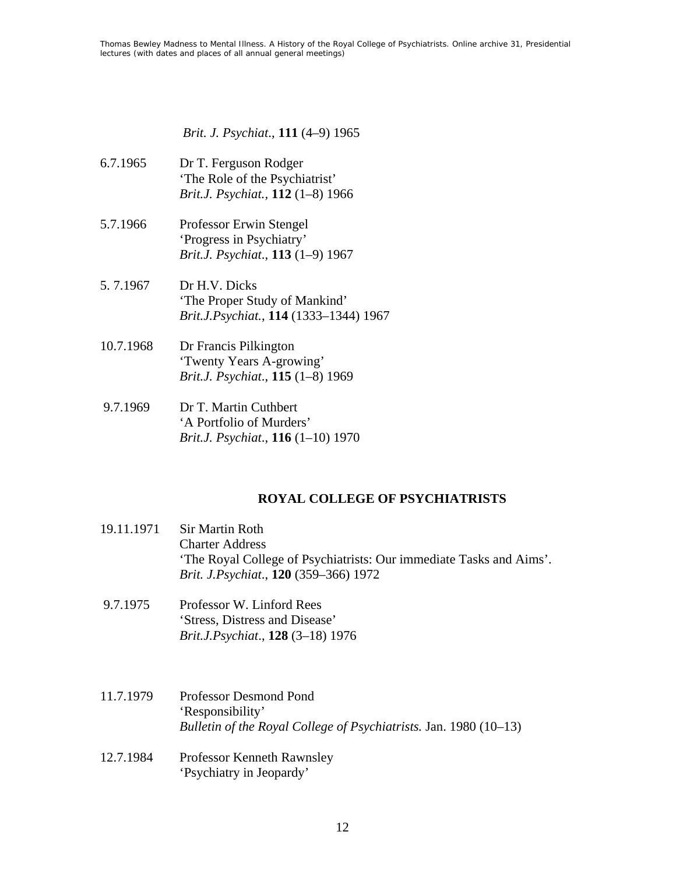*Brit. J. Psychiat*., **111** (4–9) 1965

- 6.7.1965 Dr T. Ferguson Rodger 'The Role of the Psychiatrist' *Brit.J. Psychiat.,* **112** (1–8) 1966
- 5.7.1966 Professor Erwin Stengel 'Progress in Psychiatry' *Brit.J. Psychiat*., **113** (1–9) 1967
- 5. 7.1967 Dr H.V. Dicks 'The Proper Study of Mankind' *Brit.J.Psychiat.*, **114** (1333–1344) 1967
- 10.7.1968 Dr Francis Pilkington 'Twenty Years A-growing' *Brit.J. Psychiat*., **115** (1–8) 1969
- 9.7.1969 Dr T. Martin Cuthbert 'A Portfolio of Murders' *Brit.J. Psychiat*., **116** (1–10) 1970

### **ROYAL COLLEGE OF PSYCHIATRISTS**

- 19.11.1971 Sir Martin Roth Charter Address 'The Royal College of Psychiatrists: Our immediate Tasks and Aims'. *Brit. J.Psychiat*., **120** (359–366) 1972
- 9.7.1975 Professor W. Linford Rees 'Stress, Distress and Disease' *Brit.J.Psychiat*., **128** (3–18) 1976
- 11.7.1979 Professor Desmond Pond 'Responsibility' *Bulletin of the Royal College of Psychiatrists.* Jan. 1980 (10–13)
- 12.7.1984 Professor Kenneth Rawnsley 'Psychiatry in Jeopardy'